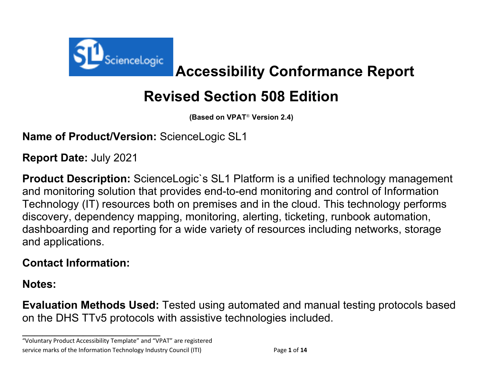

**Accessibility Conformance Report**

# **Revised Section 508 Edition**

**(Based on VPAT**® **Version 2.4)**

**Name of Product/Version:** ScienceLogic SL1

**Report Date:** July 2021

**Product Description:** ScienceLogic`s SL1 Platform is a unified technology management and monitoring solution that provides end-to-end monitoring and control of Information Technology (IT) resources both on premises and in the cloud. This technology performs discovery, dependency mapping, monitoring, alerting, ticketing, runbook automation, dashboarding and reporting for a wide variety of resources including networks, storage and applications.

## **Contact Information:**

**Notes:**

**Evaluation Methods Used:** Tested using automated and manual testing protocols based on the DHS TTv5 protocols with assistive technologies included.

"Voluntary Product Accessibility Template" and "VPAT" are registered service marks of the Information Technology Industry Council (ITI) Page **1** of **14**

**\_\_\_\_\_\_\_\_\_\_\_\_\_\_\_\_\_\_\_\_\_\_\_\_\_\_\_\_\_\_\_\_\_\_**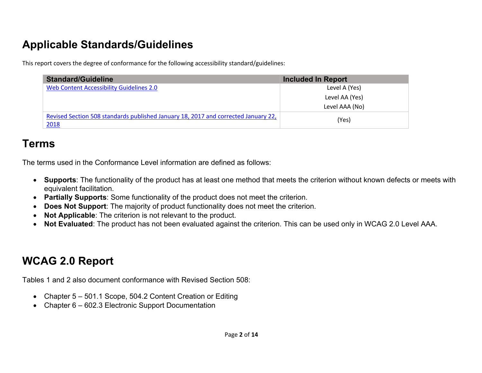# **Applicable Standards/Guidelines**

This report covers the degree of conformance for the following accessibility standard/guidelines:

| <b>Standard/Guideline</b>                                                                  | <b>Included In Report</b> |
|--------------------------------------------------------------------------------------------|---------------------------|
| Web Content Accessibility Guidelines 2.0                                                   | Level A (Yes)             |
|                                                                                            | Level AA (Yes)            |
|                                                                                            | Level AAA (No)            |
| Revised Section 508 standards published January 18, 2017 and corrected January 22,<br>2018 | (Yes)                     |

## **Terms**

The terms used in the Conformance Level information are defined as follows:

- **Supports**: The functionality of the product has at least one method that meets the criterion without known defects or meets with equivalent facilitation.
- **Partially Supports**: Some functionality of the product does not meet the criterion.
- **Does Not Support**: The majority of product functionality does not meet the criterion.
- **Not Applicable**: The criterion is not relevant to the product.
- **Not Evaluated**: The product has not been evaluated against the criterion. This can be used only in WCAG 2.0 Level AAA.

## **WCAG 2.0 Report**

Tables 1 and 2 also document conformance with Revised Section 508:

- Chapter 5 501.1 Scope, 504.2 Content Creation or Editing
- Chapter 6 602.3 Electronic Support Documentation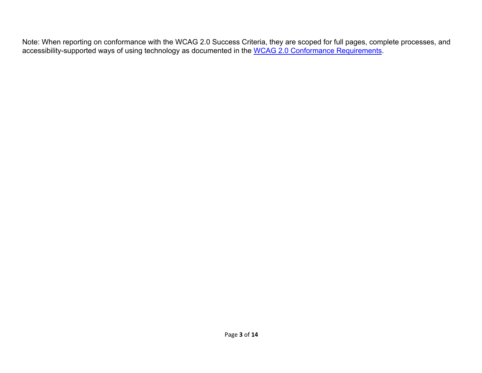Note: When reporting on conformance with the WCAG 2.0 Success Criteria, they are scoped for full pages, complete processes, and accessibility-supported ways of using technology as documented in the WCAG 2.0 Conformance Requirements.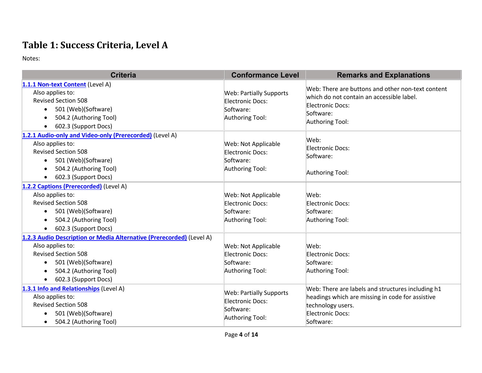#### **Table 1: Success Criteria, Level A**

| <b>Criteria</b>                                                                                                                                                                                                           | <b>Conformance Level</b>                                                           | <b>Remarks and Explanations</b>                                                                                                                                    |
|---------------------------------------------------------------------------------------------------------------------------------------------------------------------------------------------------------------------------|------------------------------------------------------------------------------------|--------------------------------------------------------------------------------------------------------------------------------------------------------------------|
| 1.1.1 Non-text Content (Level A)<br>Also applies to:<br><b>Revised Section 508</b><br>501 (Web)(Software)<br>$\bullet$<br>504.2 (Authoring Tool)<br>602.3 (Support Docs)<br>$\bullet$                                     | <b>Web: Partially Supports</b><br>Electronic Docs:<br>Software:<br>Authoring Tool: | Web: There are buttons and other non-text content<br>which do not contain an accessible label.<br>Electronic Docs:<br>Software:<br>Authoring Tool:                 |
| 1.2.1 Audio-only and Video-only (Prerecorded) (Level A)<br>Also applies to:<br><b>Revised Section 508</b><br>501 (Web)(Software)<br>$\bullet$<br>504.2 (Authoring Tool)<br>602.3 (Support Docs)<br>$\bullet$              | Web: Not Applicable<br>Electronic Docs:<br>Software:<br>Authoring Tool:            | Web:<br>Electronic Docs:<br>Software:<br>Authoring Tool:                                                                                                           |
| 1.2.2 Captions (Prerecorded) (Level A)<br>Also applies to:<br><b>Revised Section 508</b><br>501 (Web)(Software)<br>$\bullet$<br>504.2 (Authoring Tool)<br>602.3 (Support Docs)<br>$\bullet$                               | Web: Not Applicable<br>Electronic Docs:<br>Software:<br>Authoring Tool:            | Web:<br>Electronic Docs:<br>Software:<br>Authoring Tool:                                                                                                           |
| 1.2.3 Audio Description or Media Alternative (Prerecorded) (Level A)<br>Also applies to:<br><b>Revised Section 508</b><br>501 (Web)(Software)<br>$\bullet$<br>504.2 (Authoring Tool)<br>602.3 (Support Docs)<br>$\bullet$ | Web: Not Applicable<br>Electronic Docs:<br>Software:<br>Authoring Tool:            | Web:<br>Electronic Docs:<br>Software:<br>Authoring Tool:                                                                                                           |
| 1.3.1 Info and Relationships (Level A)<br>Also applies to:<br><b>Revised Section 508</b><br>501 (Web)(Software)<br>504.2 (Authoring Tool)<br>$\bullet$                                                                    | <b>Web: Partially Supports</b><br>Electronic Docs:<br>Software:<br>Authoring Tool: | Web: There are labels and structures including h1<br>headings which are missing in code for assistive<br>technology users.<br><b>Electronic Docs:</b><br>Software: |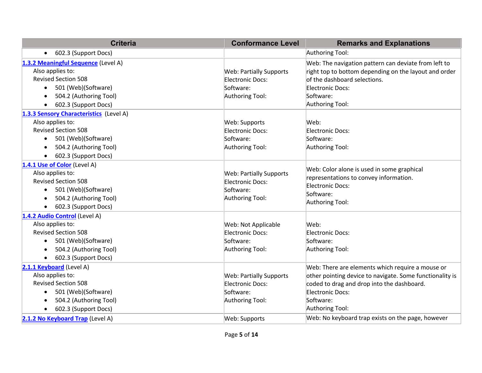| <b>Criteria</b>                                         | <b>Conformance Level</b>                           | <b>Remarks and Explanations</b>                                                       |
|---------------------------------------------------------|----------------------------------------------------|---------------------------------------------------------------------------------------|
| 602.3 (Support Docs)<br>$\bullet$                       |                                                    | Authoring Tool:                                                                       |
| 1.3.2 Meaningful Sequence (Level A)<br>Also applies to: |                                                    | Web: The navigation pattern can deviate from left to                                  |
| <b>Revised Section 508</b>                              | <b>Web: Partially Supports</b><br>Electronic Docs: | right top to bottom depending on the layout and order<br>of the dashboard selections. |
| 501 (Web)(Software)<br>$\bullet$                        | Software:                                          | Electronic Docs:                                                                      |
| 504.2 (Authoring Tool)                                  | Authoring Tool:                                    | Software:                                                                             |
|                                                         |                                                    | Authoring Tool:                                                                       |
| 602.3 (Support Docs)                                    |                                                    |                                                                                       |
| 1.3.3 Sensory Characteristics (Level A)                 |                                                    |                                                                                       |
| Also applies to:<br><b>Revised Section 508</b>          | Web: Supports                                      | Web:                                                                                  |
|                                                         | Electronic Docs:                                   | Electronic Docs:                                                                      |
| 501 (Web)(Software)<br>$\bullet$                        | Software:                                          | Software:                                                                             |
| 504.2 (Authoring Tool)                                  | Authoring Tool:                                    | Authoring Tool:                                                                       |
| 602.3 (Support Docs)                                    |                                                    |                                                                                       |
| 1.4.1 Use of Color (Level A)                            |                                                    | Web: Color alone is used in some graphical                                            |
| Also applies to:                                        | <b>Web: Partially Supports</b>                     | representations to convey information.                                                |
| <b>Revised Section 508</b>                              | Electronic Docs:                                   | Electronic Docs:                                                                      |
| 501 (Web)(Software)                                     | Software:                                          | Software:                                                                             |
| 504.2 (Authoring Tool)                                  | Authoring Tool:                                    | Authoring Tool:                                                                       |
| 602.3 (Support Docs)<br>$\bullet$                       |                                                    |                                                                                       |
| 1.4.2 Audio Control (Level A)                           |                                                    |                                                                                       |
| Also applies to:                                        | Web: Not Applicable                                | Web:                                                                                  |
| <b>Revised Section 508</b>                              | Electronic Docs:                                   | <b>Electronic Docs:</b>                                                               |
| 501 (Web)(Software)<br>$\bullet$                        | Software:                                          | Software:                                                                             |
| 504.2 (Authoring Tool)<br>$\bullet$                     | Authoring Tool:                                    | Authoring Tool:                                                                       |
| 602.3 (Support Docs)                                    |                                                    |                                                                                       |
| 2.1.1 Keyboard (Level A)                                |                                                    | Web: There are elements which require a mouse or                                      |
| Also applies to:                                        | <b>Web: Partially Supports</b>                     | other pointing device to navigate. Some functionality is                              |
| <b>Revised Section 508</b>                              | Electronic Docs:                                   | coded to drag and drop into the dashboard.                                            |
| 501 (Web)(Software)<br>$\bullet$                        | Software:                                          | Electronic Docs:                                                                      |
| 504.2 (Authoring Tool)                                  | Authoring Tool:                                    | Software:                                                                             |
| 602.3 (Support Docs)                                    |                                                    | Authoring Tool:                                                                       |
| 2.1.2 No Keyboard Trap (Level A)                        | Web: Supports                                      | Web: No keyboard trap exists on the page, however                                     |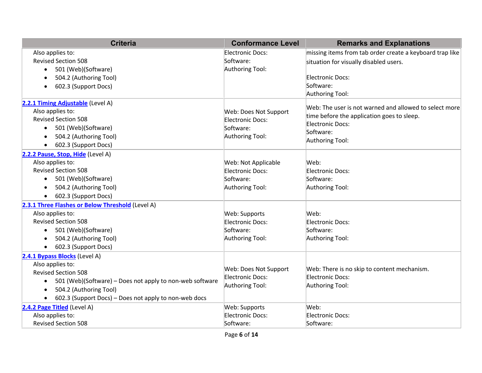| <b>Criteria</b>                                                       | <b>Conformance Level</b>   | <b>Remarks and Explanations</b>                          |
|-----------------------------------------------------------------------|----------------------------|----------------------------------------------------------|
| Also applies to:                                                      | Electronic Docs:           | missing items from tab order create a keyboard trap like |
| <b>Revised Section 508</b>                                            | Software:                  | situation for visually disabled users.                   |
| 501 (Web)(Software)<br>$\bullet$                                      | Authoring Tool:            |                                                          |
| 504.2 (Authoring Tool)                                                |                            | Electronic Docs:                                         |
| 602.3 (Support Docs)<br>$\bullet$                                     |                            | Software:                                                |
|                                                                       |                            | Authoring Tool:                                          |
| 2.2.1 Timing Adjustable (Level A)                                     |                            | Web: The user is not warned and allowed to select more   |
| Also applies to:                                                      | Web: Does Not Support      | time before the application goes to sleep.               |
| <b>Revised Section 508</b>                                            | Electronic Docs:           | Electronic Docs:                                         |
| 501 (Web)(Software)<br>$\bullet$                                      | Software:                  | Software:                                                |
| 504.2 (Authoring Tool)                                                | Authoring Tool:            | Authoring Tool:                                          |
| 602.3 (Support Docs)<br>$\bullet$                                     |                            |                                                          |
| 2.2.2 Pause, Stop, Hide (Level A)                                     |                            |                                                          |
| Also applies to:                                                      | <b>Web: Not Applicable</b> | Web:                                                     |
| <b>Revised Section 508</b>                                            | Electronic Docs:           | Electronic Docs:                                         |
| 501 (Web)(Software)<br>$\bullet$                                      | Software:                  | Software:                                                |
| 504.2 (Authoring Tool)                                                | Authoring Tool:            | Authoring Tool:                                          |
| 602.3 (Support Docs)<br>$\bullet$                                     |                            |                                                          |
| 2.3.1 Three Flashes or Below Threshold (Level A)                      |                            |                                                          |
| Also applies to:                                                      | Web: Supports              | Web:                                                     |
| <b>Revised Section 508</b>                                            | Electronic Docs:           | Electronic Docs:                                         |
| 501 (Web)(Software)<br>$\bullet$                                      | Software:                  | Software:                                                |
| 504.2 (Authoring Tool)<br>$\bullet$                                   | Authoring Tool:            | Authoring Tool:                                          |
| 602.3 (Support Docs)                                                  |                            |                                                          |
| 2.4.1 Bypass Blocks (Level A)                                         |                            |                                                          |
| Also applies to:                                                      | Web: Does Not Support      | Web: There is no skip to content mechanism.              |
| <b>Revised Section 508</b>                                            | Electronic Docs:           | Electronic Docs:                                         |
| 501 (Web)(Software) - Does not apply to non-web software<br>$\bullet$ | Authoring Tool:            | Authoring Tool:                                          |
| 504.2 (Authoring Tool)                                                |                            |                                                          |
| 602.3 (Support Docs) - Does not apply to non-web docs                 |                            |                                                          |
| 2.4.2 Page Titled (Level A)                                           | Web: Supports              | Web:                                                     |
| Also applies to:                                                      | Electronic Docs:           | Electronic Docs:                                         |
| <b>Revised Section 508</b>                                            | Software:                  | Software:                                                |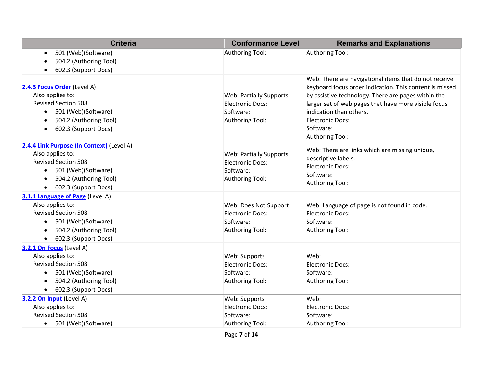| <b>Criteria</b>                                                                                                                                                                   | <b>Conformance Level</b>                                                           | <b>Remarks and Explanations</b>                                                                                                                                                                                                                                                                                |
|-----------------------------------------------------------------------------------------------------------------------------------------------------------------------------------|------------------------------------------------------------------------------------|----------------------------------------------------------------------------------------------------------------------------------------------------------------------------------------------------------------------------------------------------------------------------------------------------------------|
| 501 (Web)(Software)<br>$\bullet$                                                                                                                                                  | Authoring Tool:                                                                    | Authoring Tool:                                                                                                                                                                                                                                                                                                |
| 504.2 (Authoring Tool)                                                                                                                                                            |                                                                                    |                                                                                                                                                                                                                                                                                                                |
| 602.3 (Support Docs)                                                                                                                                                              |                                                                                    |                                                                                                                                                                                                                                                                                                                |
| 2.4.3 Focus Order (Level A)<br>Also applies to:<br><b>Revised Section 508</b><br>501 (Web)(Software)<br>504.2 (Authoring Tool)<br>602.3 (Support Docs)<br>$\bullet$               | <b>Web: Partially Supports</b><br>Electronic Docs:<br>Software:<br>Authoring Tool: | Web: There are navigational items that do not receive<br>keyboard focus order indication. This content is missed<br>by assistive technology. There are pages within the<br>larger set of web pages that have more visible focus<br>indication than others.<br>Electronic Docs:<br>Software:<br>Authoring Tool: |
| 2.4.4 Link Purpose (In Context) (Level A)<br>Also applies to:<br><b>Revised Section 508</b><br>501 (Web)(Software)<br>504.2 (Authoring Tool)<br>602.3 (Support Docs)<br>$\bullet$ | <b>Web: Partially Supports</b><br>Electronic Docs:<br>Software:<br>Authoring Tool: | Web: There are links which are missing unique,<br>descriptive labels.<br>Electronic Docs:<br>Software:<br>Authoring Tool:                                                                                                                                                                                      |
| 3.1.1 Language of Page (Level A)                                                                                                                                                  |                                                                                    |                                                                                                                                                                                                                                                                                                                |
| Also applies to:                                                                                                                                                                  | Web: Does Not Support                                                              | Web: Language of page is not found in code.                                                                                                                                                                                                                                                                    |
| <b>Revised Section 508</b>                                                                                                                                                        | Electronic Docs:                                                                   | Electronic Docs:                                                                                                                                                                                                                                                                                               |
| 501 (Web)(Software)<br>$\bullet$                                                                                                                                                  | Software:                                                                          | Software:                                                                                                                                                                                                                                                                                                      |
| 504.2 (Authoring Tool)                                                                                                                                                            | Authoring Tool:                                                                    | Authoring Tool:                                                                                                                                                                                                                                                                                                |
| 602.3 (Support Docs)<br>$\bullet$                                                                                                                                                 |                                                                                    |                                                                                                                                                                                                                                                                                                                |
| 3.2.1 On Focus (Level A)                                                                                                                                                          |                                                                                    |                                                                                                                                                                                                                                                                                                                |
| Also applies to:                                                                                                                                                                  | Web: Supports                                                                      | Web:                                                                                                                                                                                                                                                                                                           |
| <b>Revised Section 508</b>                                                                                                                                                        | Electronic Docs:                                                                   | Electronic Docs:                                                                                                                                                                                                                                                                                               |
| 501 (Web)(Software)<br>$\bullet$                                                                                                                                                  | Software:                                                                          | Software:                                                                                                                                                                                                                                                                                                      |
| 504.2 (Authoring Tool)                                                                                                                                                            | Authoring Tool:                                                                    | Authoring Tool:                                                                                                                                                                                                                                                                                                |
| 602.3 (Support Docs)<br>$\bullet$                                                                                                                                                 |                                                                                    |                                                                                                                                                                                                                                                                                                                |
| 3.2.2 On Input (Level A)                                                                                                                                                          | Web: Supports                                                                      | Web:                                                                                                                                                                                                                                                                                                           |
| Also applies to:                                                                                                                                                                  | Electronic Docs:                                                                   | Electronic Docs:                                                                                                                                                                                                                                                                                               |
| <b>Revised Section 508</b>                                                                                                                                                        | Software:                                                                          | Software:                                                                                                                                                                                                                                                                                                      |
| • 501 (Web)(Software)                                                                                                                                                             | Authoring Tool:                                                                    | Authoring Tool:                                                                                                                                                                                                                                                                                                |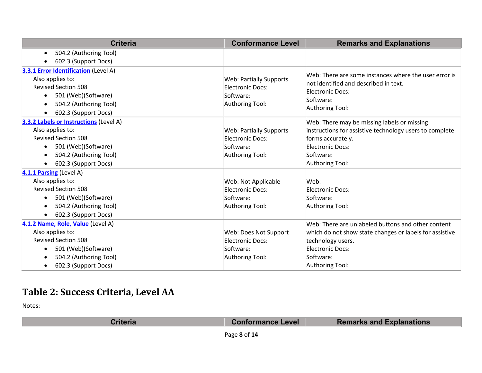| <b>Criteria</b>                               | <b>Conformance Level</b>       | <b>Remarks and Explanations</b>                         |
|-----------------------------------------------|--------------------------------|---------------------------------------------------------|
| 504.2 (Authoring Tool)<br>$\bullet$           |                                |                                                         |
| 602.3 (Support Docs)                          |                                |                                                         |
| <b>3.3.1 Error Identification (Level A)</b>   |                                |                                                         |
| Also applies to:                              | <b>Web: Partially Supports</b> | Web: There are some instances where the user error is   |
| <b>Revised Section 508</b>                    | <b>Electronic Docs:</b>        | not identified and described in text.                   |
| 501 (Web)(Software)<br>$\bullet$              | Software:                      | <b>Electronic Docs:</b><br>Software:                    |
| 504.2 (Authoring Tool)<br>$\bullet$           | Authoring Tool:                | Authoring Tool:                                         |
| 602.3 (Support Docs)<br>$\bullet$             |                                |                                                         |
| <b>3.3.2 Labels or Instructions (Level A)</b> |                                | Web: There may be missing labels or missing             |
| Also applies to:                              | <b>Web: Partially Supports</b> | instructions for assistive technology users to complete |
| <b>Revised Section 508</b>                    | Electronic Docs:               | forms accurately.                                       |
| 501 (Web)(Software)<br>$\bullet$              | Software:                      | <b>Electronic Docs:</b>                                 |
| 504.2 (Authoring Tool)<br>$\bullet$           | Authoring Tool:                | Software:                                               |
| 602.3 (Support Docs)<br>$\bullet$             |                                | Authoring Tool:                                         |
| 4.1.1 Parsing (Level A)                       |                                |                                                         |
| Also applies to:                              | Web: Not Applicable            | Web:                                                    |
| <b>Revised Section 508</b>                    | Electronic Docs:               | <b>Electronic Docs:</b>                                 |
| 501 (Web)(Software)<br>$\bullet$              | Software:                      | Software:                                               |
| 504.2 (Authoring Tool)<br>$\bullet$           | Authoring Tool:                | Authoring Tool:                                         |
| 602.3 (Support Docs)                          |                                |                                                         |
| 4.1.2 Name, Role, Value (Level A)             |                                | Web: There are unlabeled buttons and other content      |
| Also applies to:                              | Web: Does Not Support          | which do not show state changes or labels for assistive |
| <b>Revised Section 508</b>                    | Electronic Docs:               | technology users.                                       |
| 501 (Web)(Software)<br>$\bullet$              | Software:                      | <b>Electronic Docs:</b>                                 |
| 504.2 (Authoring Tool)                        | Authoring Tool:                | Software:                                               |
| 602.3 (Support Docs)<br>$\bullet$             |                                | Authoring Tool:                                         |

### **Table 2: Success Criteria, Level AA**

| <b>Conformance Level</b> | <b>Remarks and Explanations</b> |
|--------------------------|---------------------------------|
|                          |                                 |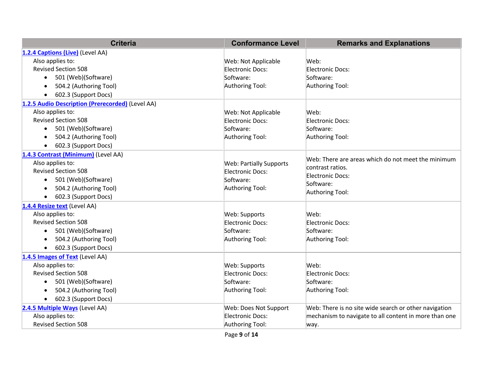| <b>Criteria</b>                                  | <b>Conformance Level</b>       | <b>Remarks and Explanations</b>                       |
|--------------------------------------------------|--------------------------------|-------------------------------------------------------|
| 1.2.4 Captions (Live) (Level AA)                 |                                |                                                       |
| Also applies to:                                 | Web: Not Applicable            | Web:                                                  |
| <b>Revised Section 508</b>                       | Electronic Docs:               | Electronic Docs:                                      |
| 501 (Web)(Software)<br>$\bullet$                 | Software:                      | Software:                                             |
| 504.2 (Authoring Tool)                           | Authoring Tool:                | Authoring Tool:                                       |
| 602.3 (Support Docs)<br>$\bullet$                |                                |                                                       |
| 1.2.5 Audio Description (Prerecorded) (Level AA) |                                |                                                       |
| Also applies to:                                 | Web: Not Applicable            | Web:                                                  |
| <b>Revised Section 508</b>                       | Electronic Docs:               | Electronic Docs:                                      |
| 501 (Web)(Software)<br>$\bullet$                 | Software:                      | Software:                                             |
| 504.2 (Authoring Tool)                           | Authoring Tool:                | Authoring Tool:                                       |
| 602.3 (Support Docs)                             |                                |                                                       |
| 1.4.3 Contrast (Minimum) (Level AA)              |                                | Web: There are areas which do not meet the minimum    |
| Also applies to:                                 | <b>Web: Partially Supports</b> | contrast ratios.                                      |
| <b>Revised Section 508</b>                       | Electronic Docs:               | Electronic Docs:                                      |
| 501 (Web)(Software)                              | Software:                      | Software:                                             |
| 504.2 (Authoring Tool)                           | Authoring Tool:                | Authoring Tool:                                       |
| 602.3 (Support Docs)<br>$\bullet$                |                                |                                                       |
| 1.4.4 Resize text (Level AA)                     |                                |                                                       |
| Also applies to:                                 | Web: Supports                  | Web:                                                  |
| <b>Revised Section 508</b>                       | Electronic Docs:               | Electronic Docs:                                      |
| 501 (Web)(Software)<br>$\bullet$                 | Software:                      | Software:                                             |
| 504.2 (Authoring Tool)                           | Authoring Tool:                | Authoring Tool:                                       |
| 602.3 (Support Docs)                             |                                |                                                       |
| 1.4.5 Images of Text (Level AA)                  |                                |                                                       |
| Also applies to:                                 | Web: Supports                  | Web:                                                  |
| <b>Revised Section 508</b>                       | Electronic Docs:               | Electronic Docs:                                      |
| 501 (Web)(Software)<br>$\bullet$                 | Software:                      | Software:                                             |
| 504.2 (Authoring Tool)                           | Authoring Tool:                | Authoring Tool:                                       |
| 602.3 (Support Docs)<br>$\bullet$                |                                |                                                       |
| 2.4.5 Multiple Ways (Level AA)                   | Web: Does Not Support          | Web: There is no site wide search or other navigation |
| Also applies to:                                 | Electronic Docs:               | mechanism to navigate to all content in more than one |
| <b>Revised Section 508</b>                       | Authoring Tool:                | way.                                                  |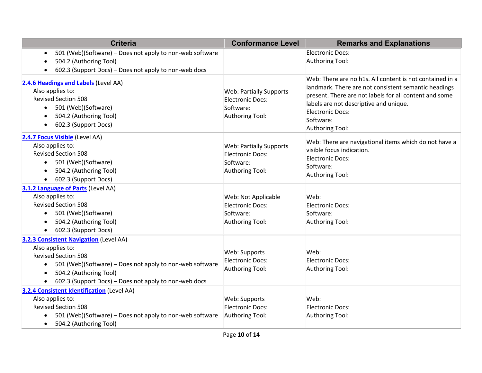| <b>Criteria</b>                                                                                                                                                                                                                                                   | <b>Conformance Level</b>                                                           | <b>Remarks and Explanations</b>                                                                                                                                                                                                                                          |
|-------------------------------------------------------------------------------------------------------------------------------------------------------------------------------------------------------------------------------------------------------------------|------------------------------------------------------------------------------------|--------------------------------------------------------------------------------------------------------------------------------------------------------------------------------------------------------------------------------------------------------------------------|
| 501 (Web)(Software) - Does not apply to non-web software<br>٠<br>504.2 (Authoring Tool)<br>602.3 (Support Docs) - Does not apply to non-web docs                                                                                                                  |                                                                                    | Electronic Docs:<br>Authoring Tool:                                                                                                                                                                                                                                      |
| 2.4.6 Headings and Labels (Level AA)<br>Also applies to:<br><b>Revised Section 508</b><br>501 (Web)(Software)<br>$\bullet$<br>504.2 (Authoring Tool)<br>602.3 (Support Docs)<br>$\bullet$                                                                         | <b>Web: Partially Supports</b><br>Electronic Docs:<br>Software:<br>Authoring Tool: | Web: There are no h1s. All content is not contained in a<br>landmark. There are not consistent semantic headings<br>present. There are not labels for all content and some<br>labels are not descriptive and unique.<br>Electronic Docs:<br>Software:<br>Authoring Tool: |
| 2.4.7 Focus Visible (Level AA)<br>Also applies to:<br><b>Revised Section 508</b><br>501 (Web)(Software)<br>$\bullet$<br>504.2 (Authoring Tool)<br>602.3 (Support Docs)<br>$\bullet$                                                                               | <b>Web: Partially Supports</b><br>Electronic Docs:<br>Software:<br>Authoring Tool: | Web: There are navigational items which do not have a<br>visible focus indication.<br>Electronic Docs:<br>Software:<br>Authoring Tool:                                                                                                                                   |
| 3.1.2 Language of Parts (Level AA)<br>Also applies to:<br><b>Revised Section 508</b><br>501 (Web)(Software)<br>$\bullet$<br>504.2 (Authoring Tool)<br>$\bullet$<br>602.3 (Support Docs)                                                                           | Web: Not Applicable<br>Electronic Docs:<br>Software:<br>Authoring Tool:            | Web:<br>Electronic Docs:<br>Software:<br>Authoring Tool:                                                                                                                                                                                                                 |
| 3.2.3 Consistent Navigation (Level AA)<br>Also applies to:<br><b>Revised Section 508</b><br>501 (Web)(Software) - Does not apply to non-web software<br>$\bullet$<br>504.2 (Authoring Tool)<br>$\bullet$<br>602.3 (Support Docs) - Does not apply to non-web docs | Web: Supports<br>Electronic Docs:<br>Authoring Tool:                               | Web:<br>Electronic Docs:<br>Authoring Tool:                                                                                                                                                                                                                              |
| <b>3.2.4 Consistent Identification (Level AA)</b><br>Also applies to:<br><b>Revised Section 508</b><br>501 (Web)(Software) - Does not apply to non-web software<br>$\bullet$<br>504.2 (Authoring Tool)<br>$\bullet$                                               | Web: Supports<br>Electronic Docs:<br>Authoring Tool:                               | Web:<br>Electronic Docs:<br>Authoring Tool:                                                                                                                                                                                                                              |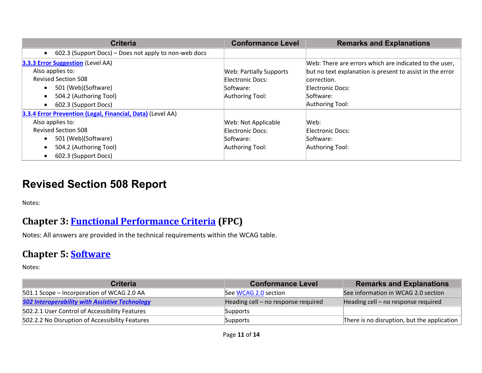| <b>Criteria</b>                                            | <b>Conformance Level</b>       | <b>Remarks and Explanations</b>                           |
|------------------------------------------------------------|--------------------------------|-----------------------------------------------------------|
| 602.3 (Support Docs) – Does not apply to non-web docs      |                                |                                                           |
| <b>3.3.3 Error Suggestion (Level AA)</b>                   |                                | Web: There are errors which are indicated to the user,    |
| Also applies to:                                           | <b>Web: Partially Supports</b> | but no text explanation is present to assist in the error |
| <b>Revised Section 508</b>                                 | Electronic Docs:               | correction.                                               |
| 501 (Web)(Software)<br>$\bullet$                           | Software:                      | Electronic Docs:                                          |
| 504.2 (Authoring Tool)<br>$\bullet$                        | Authoring Tool:                | Software:                                                 |
| 602.3 (Support Docs)<br>$\bullet$                          |                                | Authoring Tool:                                           |
| 3.3.4 Error Prevention (Legal, Financial, Data) (Level AA) |                                |                                                           |
| Also applies to:                                           | Web: Not Applicable            | Web:                                                      |
| <b>Revised Section 508</b>                                 | Electronic Docs:               | Electronic Docs:                                          |
| 501 (Web)(Software)<br>$\bullet$                           | Software:                      | Software:                                                 |
| 504.2 (Authoring Tool)                                     | Authoring Tool:                | Authoring Tool:                                           |
| 602.3 (Support Docs)                                       |                                |                                                           |

### **Revised Section 508 Report**

Notes:

#### **Chapter 3: Functional Performance Criteria (FPC)**

Notes: All answers are provided in the technical requirements within the WCAG table.

#### **Chapter 5: Software**

| <b>Criteria</b>                                       | <b>Conformance Level</b>            | <b>Remarks and Explanations</b>                         |
|-------------------------------------------------------|-------------------------------------|---------------------------------------------------------|
| 501.1 Scope – Incorporation of WCAG 2.0 AA            | See WCAG 2.0 section                | See information in WCAG 2.0 section                     |
| <b>502 Interoperability with Assistive Technology</b> | Heading cell - no response required | Heading cell – no response required                     |
| 502.2.1 User Control of Accessibility Features        | Supports                            |                                                         |
| 502.2.2 No Disruption of Accessibility Features       | Supports                            | There is no disruption, but the application $\parallel$ |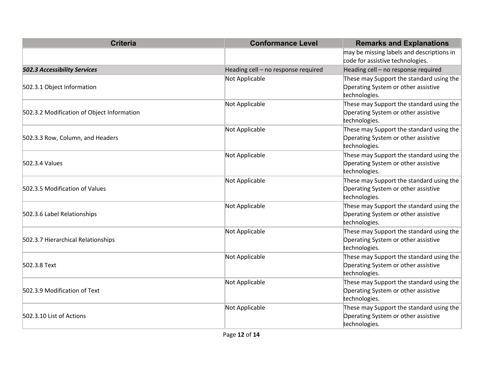| <b>Criteria</b>                            | <b>Conformance Level</b>            | <b>Remarks and Explanations</b>                                                                  |
|--------------------------------------------|-------------------------------------|--------------------------------------------------------------------------------------------------|
|                                            |                                     | may be missing labels and descriptions in                                                        |
|                                            |                                     | code for assistive technologies.                                                                 |
| <b>502.3 Accessibility Services</b>        | Heading cell - no response required | Heading cell - no response required                                                              |
| 502.3.1 Object Information                 | Not Applicable                      | These may Support the standard using the<br>Operating System or other assistive                  |
|                                            |                                     | technologies.                                                                                    |
| 502.3.2 Modification of Object Information | Not Applicable                      | These may Support the standard using the<br>Operating System or other assistive<br>technologies. |
| 502.3.3 Row, Column, and Headers           | Not Applicable                      | These may Support the standard using the<br>Operating System or other assistive<br>technologies. |
| 502.3.4 Values                             | Not Applicable                      | These may Support the standard using the<br>Operating System or other assistive<br>technologies. |
| 502.3.5 Modification of Values             | Not Applicable                      | These may Support the standard using the<br>Operating System or other assistive<br>technologies. |
| 502.3.6 Label Relationships                | Not Applicable                      | These may Support the standard using the<br>Operating System or other assistive<br>technologies. |
| 502.3.7 Hierarchical Relationships         | Not Applicable                      | These may Support the standard using the<br>Operating System or other assistive<br>technologies. |
| 502.3.8 Text                               | Not Applicable                      | These may Support the standard using the<br>Operating System or other assistive<br>technologies. |
| 502.3.9 Modification of Text               | Not Applicable                      | These may Support the standard using the<br>Operating System or other assistive<br>technologies. |
| 502.3.10 List of Actions                   | Not Applicable                      | These may Support the standard using the<br>Operating System or other assistive<br>technologies. |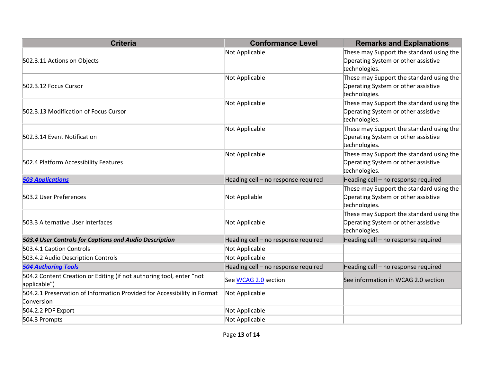| <b>Criteria</b>                                                                        | <b>Conformance Level</b>            | <b>Remarks and Explanations</b>                                                                  |
|----------------------------------------------------------------------------------------|-------------------------------------|--------------------------------------------------------------------------------------------------|
| 502.3.11 Actions on Objects                                                            | Not Applicable                      | These may Support the standard using the<br>Operating System or other assistive<br>technologies. |
| 502.3.12 Focus Cursor                                                                  | Not Applicable                      | These may Support the standard using the<br>Operating System or other assistive<br>technologies. |
| 502.3.13 Modification of Focus Cursor                                                  | Not Applicable                      | These may Support the standard using the<br>Operating System or other assistive<br>technologies. |
| 502.3.14 Event Notification                                                            | Not Applicable                      | These may Support the standard using the<br>Operating System or other assistive<br>technologies. |
| 502.4 Platform Accessibility Features                                                  | Not Applicable                      | These may Support the standard using the<br>Operating System or other assistive<br>technologies. |
| <b>503 Applications</b>                                                                | Heading cell - no response required | Heading cell - no response required                                                              |
| 503.2 User Preferences                                                                 | Not Appliable                       | These may Support the standard using the<br>Operating System or other assistive<br>technologies. |
| 503.3 Alternative User Interfaces                                                      | Not Applicable                      | These may Support the standard using the<br>Operating System or other assistive<br>technologies. |
| 503.4 User Controls for Captions and Audio Description                                 | Heading cell - no response required | Heading cell - no response required                                                              |
| 503.4.1 Caption Controls                                                               | Not Applicable                      |                                                                                                  |
| 503.4.2 Audio Description Controls                                                     | Not Applicable                      |                                                                                                  |
| <b>504 Authoring Tools</b>                                                             | Heading cell - no response required | Heading cell - no response required                                                              |
| 504.2 Content Creation or Editing (if not authoring tool, enter "not<br>applicable")   | See WCAG 2.0 section                | See information in WCAG 2.0 section                                                              |
| 504.2.1 Preservation of Information Provided for Accessibility in Format<br>Conversion | Not Applicable                      |                                                                                                  |
| 504.2.2 PDF Export                                                                     | Not Applicable                      |                                                                                                  |
| 504.3 Prompts                                                                          | Not Applicable                      |                                                                                                  |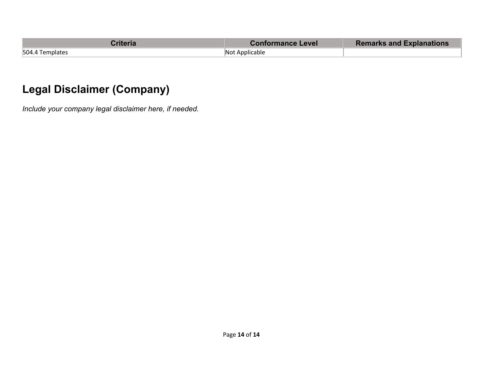| <b>Criteria</b> | Conformance Level | <b>Remarks and Explanations</b> |
|-----------------|-------------------|---------------------------------|
| 504.4 Templates | Not Applicable    |                                 |

# **Legal Disclaimer (Company)**

*Include your company legal disclaimer here, if needed.*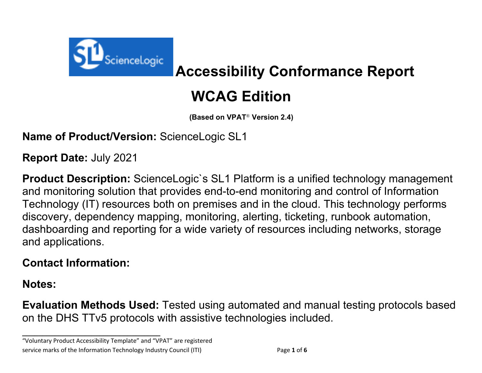

# **Accessibility Conformance Report**

# **WCAG Edition**

**(Based on VPAT**® **Version 2.4)**

**Name of Product/Version:** ScienceLogic SL1

**Report Date:** July 2021

**Product Description:** ScienceLogic`s SL1 Platform is a unified technology management and monitoring solution that provides end-to-end monitoring and control of Information Technology (IT) resources both on premises and in the cloud. This technology performs discovery, dependency mapping, monitoring, alerting, ticketing, runbook automation, dashboarding and reporting for a wide variety of resources including networks, storage and applications.

## **Contact Information:**

**Notes:**

**Evaluation Methods Used:** Tested using automated and manual testing protocols based on the DHS TTv5 protocols with assistive technologies included.

"Voluntary Product Accessibility Template" and "VPAT" are registered service marks of the Information Technology Industry Council (ITI) Page **1** of **6**

**\_\_\_\_\_\_\_\_\_\_\_\_\_\_\_\_\_\_\_\_\_\_\_\_\_\_\_\_\_\_\_\_\_\_**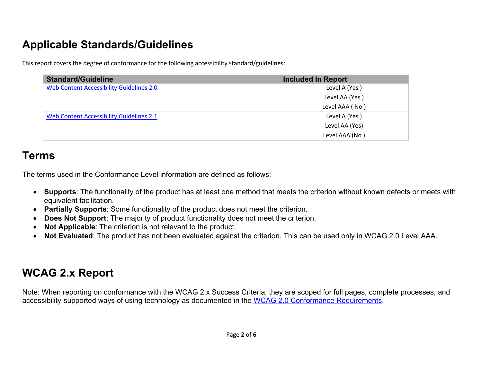# **Applicable Standards/Guidelines**

This report covers the degree of conformance for the following accessibility standard/guidelines:

| <b>Standard/Guideline</b>                       | <b>Included In Report</b> |
|-------------------------------------------------|---------------------------|
| <b>Web Content Accessibility Guidelines 2.0</b> | Level A (Yes)             |
|                                                 | Level AA (Yes)            |
|                                                 | Level AAA (No)            |
| Web Content Accessibility Guidelines 2.1        | Level A (Yes)             |
|                                                 | Level AA (Yes)            |
|                                                 | Level AAA (No)            |

### **Terms**

The terms used in the Conformance Level information are defined as follows:

- **Supports**: The functionality of the product has at least one method that meets the criterion without known defects or meets with equivalent facilitation.
- **Partially Supports**: Some functionality of the product does not meet the criterion.
- **Does Not Support**: The majority of product functionality does not meet the criterion.
- **Not Applicable**: The criterion is not relevant to the product.
- **Not Evaluated**: The product has not been evaluated against the criterion. This can be used only in WCAG 2.0 Level AAA.

# **WCAG 2.x Report**

Note: When reporting on conformance with the WCAG 2.x Success Criteria, they are scoped for full pages, complete processes, and accessibility-supported ways of using technology as documented in the WCAG 2.0 Conformance Requirements.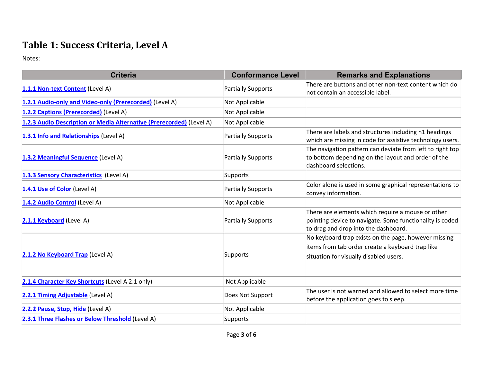#### **Table 1: Success Criteria, Level A**

| <b>Criteria</b>                                                      | <b>Conformance Level</b>  | <b>Remarks and Explanations</b>                                                                                                                       |
|----------------------------------------------------------------------|---------------------------|-------------------------------------------------------------------------------------------------------------------------------------------------------|
| 1.1.1 Non-text Content (Level A)                                     | <b>Partially Supports</b> | There are buttons and other non-text content which do<br>not contain an accessible label.                                                             |
| 1.2.1 Audio-only and Video-only (Prerecorded) (Level A)              | Not Applicable            |                                                                                                                                                       |
| 1.2.2 Captions (Prerecorded) (Level A)                               | Not Applicable            |                                                                                                                                                       |
| 1.2.3 Audio Description or Media Alternative (Prerecorded) (Level A) | Not Applicable            |                                                                                                                                                       |
| 1.3.1 Info and Relationships (Level A)                               | <b>Partially Supports</b> | There are labels and structures including h1 headings<br>which are missing in code for assistive technology users.                                    |
| 1.3.2 Meaningful Sequence (Level A)                                  | <b>Partially Supports</b> | The navigation pattern can deviate from left to right top<br>to bottom depending on the layout and order of the<br>dashboard selections.              |
| 1.3.3 Sensory Characteristics (Level A)                              | Supports                  |                                                                                                                                                       |
| 1.4.1 Use of Color (Level A)                                         | <b>Partially Supports</b> | Color alone is used in some graphical representations to<br>convey information.                                                                       |
| 1.4.2 Audio Control (Level A)                                        | Not Applicable            |                                                                                                                                                       |
| 2.1.1 Keyboard (Level A)                                             | Partially Supports        | There are elements which require a mouse or other<br>pointing device to navigate. Some functionality is coded<br>to drag and drop into the dashboard. |
| 2.1.2 No Keyboard Trap (Level A)                                     | Supports                  | No keyboard trap exists on the page, however missing<br>items from tab order create a keyboard trap like<br>situation for visually disabled users.    |
| 2.1.4 Character Key Shortcuts (Level A 2.1 only)                     | Not Applicable            |                                                                                                                                                       |
| 2.2.1 Timing Adjustable (Level A)                                    | Does Not Support          | The user is not warned and allowed to select more time<br>before the application goes to sleep.                                                       |
| 2.2.2 Pause, Stop, Hide (Level A)                                    | Not Applicable            |                                                                                                                                                       |
| 2.3.1 Three Flashes or Below Threshold (Level A)                     | Supports                  |                                                                                                                                                       |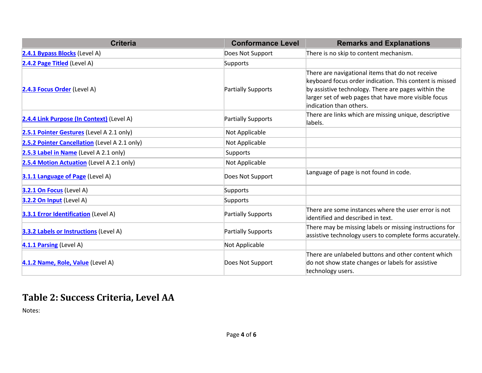| <b>Criteria</b>                               | <b>Conformance Level</b> | <b>Remarks and Explanations</b>                                                                                                                                                                                                                       |
|-----------------------------------------------|--------------------------|-------------------------------------------------------------------------------------------------------------------------------------------------------------------------------------------------------------------------------------------------------|
| 2.4.1 Bypass Blocks (Level A)                 | Does Not Support         | There is no skip to content mechanism.                                                                                                                                                                                                                |
| 2.4.2 Page Titled (Level A)                   | Supports                 |                                                                                                                                                                                                                                                       |
| 2.4.3 Focus Order (Level A)                   | Partially Supports       | There are navigational items that do not receive<br>keyboard focus order indication. This content is missed<br>by assistive technology. There are pages within the<br>larger set of web pages that have more visible focus<br>indication than others. |
| 2.4.4 Link Purpose (In Context) (Level A)     | Partially Supports       | There are links which are missing unique, descriptive<br>labels.                                                                                                                                                                                      |
| 2.5.1 Pointer Gestures (Level A 2.1 only)     | Not Applicable           |                                                                                                                                                                                                                                                       |
| 2.5.2 Pointer Cancellation (Level A 2.1 only) | Not Applicable           |                                                                                                                                                                                                                                                       |
| 2.5.3 Label in Name (Level A 2.1 only)        | <b>Supports</b>          |                                                                                                                                                                                                                                                       |
| 2.5.4 Motion Actuation (Level A 2.1 only)     | Not Applicable           |                                                                                                                                                                                                                                                       |
| 3.1.1 Language of Page (Level A)              | Does Not Support         | Language of page is not found in code.                                                                                                                                                                                                                |
| 3.2.1 On Focus (Level A)                      | Supports                 |                                                                                                                                                                                                                                                       |
| 3.2.2 On Input (Level A)                      | <b>Supports</b>          |                                                                                                                                                                                                                                                       |
| 3.3.1 Error Identification (Level A)          | Partially Supports       | There are some instances where the user error is not<br>identified and described in text.                                                                                                                                                             |
| 3.3.2 Labels or Instructions (Level A)        | Partially Supports       | There may be missing labels or missing instructions for<br>assistive technology users to complete forms accurately.                                                                                                                                   |
| 4.1.1 Parsing (Level A)                       | Not Applicable           |                                                                                                                                                                                                                                                       |
| 4.1.2 Name, Role, Value (Level A)             | Does Not Support         | There are unlabeled buttons and other content which<br>do not show state changes or labels for assistive<br>technology users.                                                                                                                         |

#### **Table 2: Success Criteria, Level AA**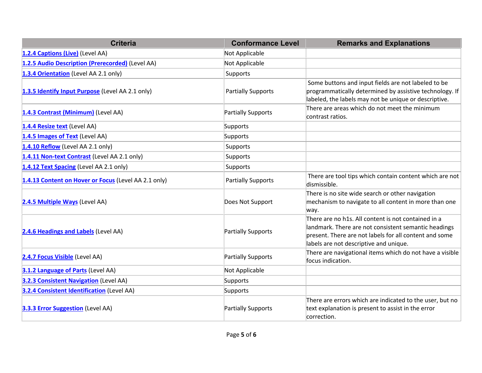| <b>Criteria</b>                                      | <b>Conformance Level</b>  | <b>Remarks and Explanations</b>                                                                                                                                                                                 |
|------------------------------------------------------|---------------------------|-----------------------------------------------------------------------------------------------------------------------------------------------------------------------------------------------------------------|
| 1.2.4 Captions (Live) (Level AA)                     | Not Applicable            |                                                                                                                                                                                                                 |
| 1.2.5 Audio Description (Prerecorded) (Level AA)     | Not Applicable            |                                                                                                                                                                                                                 |
| 1.3.4 Orientation (Level AA 2.1 only)                | Supports                  |                                                                                                                                                                                                                 |
| 1.3.5 Identify Input Purpose (Level AA 2.1 only)     | <b>Partially Supports</b> | Some buttons and input fields are not labeled to be<br>programmatically determined by assistive technology. If<br>labeled, the labels may not be unique or descriptive.                                         |
| 1.4.3 Contrast (Minimum) (Level AA)                  | Partially Supports        | There are areas which do not meet the minimum<br>contrast ratios.                                                                                                                                               |
| 1.4.4 Resize text (Level AA)                         | Supports                  |                                                                                                                                                                                                                 |
| 1.4.5 Images of Text (Level AA)                      | Supports                  |                                                                                                                                                                                                                 |
| 1.4.10 Reflow (Level AA 2.1 only)                    | Supports                  |                                                                                                                                                                                                                 |
| 1.4.11 Non-text Contrast (Level AA 2.1 only)         | Supports                  |                                                                                                                                                                                                                 |
| 1.4.12 Text Spacing (Level AA 2.1 only)              | Supports                  |                                                                                                                                                                                                                 |
| 1.4.13 Content on Hover or Focus (Level AA 2.1 only) | <b>Partially Supports</b> | There are tool tips which contain content which are not<br>dismissible.                                                                                                                                         |
| 2.4.5 Multiple Ways (Level AA)                       | Does Not Support          | There is no site wide search or other navigation<br>mechanism to navigate to all content in more than one<br>way.                                                                                               |
| 2.4.6 Headings and Labels (Level AA)                 | Partially Supports        | There are no h1s. All content is not contained in a<br>landmark. There are not consistent semantic headings<br>present. There are not labels for all content and some<br>labels are not descriptive and unique. |
| 2.4.7 Focus Visible (Level AA)                       | Partially Supports        | There are navigational items which do not have a visible<br>focus indication.                                                                                                                                   |
| 3.1.2 Language of Parts (Level AA)                   | Not Applicable            |                                                                                                                                                                                                                 |
| 3.2.3 Consistent Navigation (Level AA)               | Supports                  |                                                                                                                                                                                                                 |
| 3.2.4 Consistent Identification (Level AA)           | Supports                  |                                                                                                                                                                                                                 |
| 3.3.3 Error Suggestion (Level AA)                    | Partially Supports        | There are errors which are indicated to the user, but no<br>text explanation is present to assist in the error<br>correction.                                                                                   |